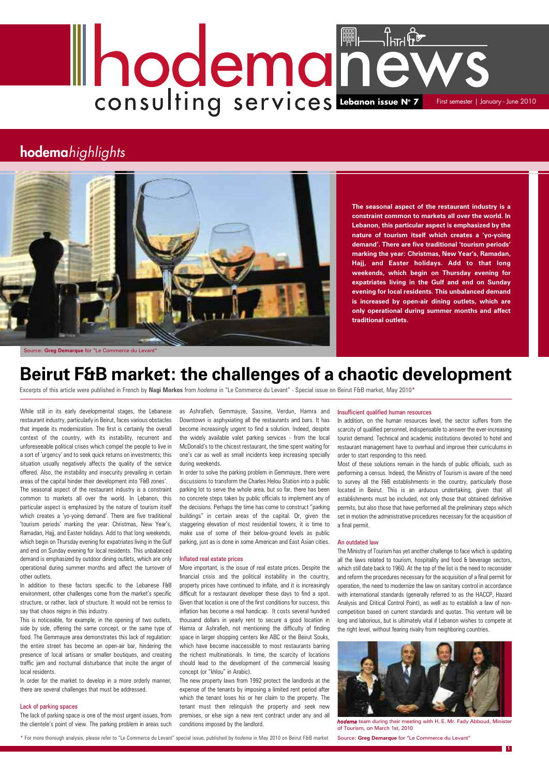While still in its early developmental stages, the Lebanese restaurant industry, particularly in Beirut, faces various obstacles that impede its modernization. The first is certainly the overall context of the country, with its instability, recurrent and unforeseeable political crises which compel the people to live in a sort of 'urgency' and to seek quick returns on investments; this situation usually negatively affects the quality of the service offered. Also, the instability and insecurity prevailing in certain areas of the capital hinder their development into 'F&B zones'. The seasonal aspect of the restaurant industry is a constraint common to markets all over the world. In Lebanon, this particular aspect is emphasized by the nature of tourism itself which creates a 'yo-yoing demand'. There are five traditional 'tourism periods' marking the year: Christmas, New Year's, Ramadan, Hajj, and Easter holidays. Add to that long weekends, which begin on Thursday evening for expatriates living in the Gulf and end on Sunday evening for local residents. This unbalanced demand is emphasized by outdoor dining outlets, which are only operational during summer months and affect the turnover of other outlets.

In addition to these factors specific to the Lebanese F&B environment, other challenges come from the market's specific structure, or rather, lack of structure. It would not be remiss to say that chaos reigns in this industry. This is noticeable, for example, in the opening of two outlets, side by side, offering the same concept, or the same type of food. The Gemmayze area demonstrates this lack of regulation: the entire street has become an open-air bar, hindering the presence of local artisans or smaller boutiques, and creating traffic jam and nocturnal disturbance that incite the anger of local residents.

In order for the market to develop in a more orderly manner, there are several challenges that must be addressed.

#### Lack of parking spaces

The lack of parking space is one of the most urgent issues, from the clientele's point of view. The parking problem in areas such

as Ashrafieh, Gemmayze, Sassine, Verdun, Hamra and Downtown is asphyxiating all the restaurants and bars. It has become increasingly urgent to find a solution. Indeed, despite the widely available valet parking services - from the local McDonald's to the chicest restaurant, the time spent waiting for one's car as well as small incidents keep increasing specially during weekends.

In order to solve the parking problem in Gemmayze, there were discussions to transform the Charles Helou Station into a public parking lot to serve the whole area, but so far, there has been no concrete steps taken by public officials to implement any of the decisions. Perhaps the time has come to construct "parking buildings" in certain areas of the capital. Or, given the staggering elevation of most residential towers, it is time to make use of some of their below-ground levels as public parking, just as is done in some American and East Asian cities.

#### Inflated real estate prices

# **Leonard Consulting Services** First semester | January - June 2010

More important, is the issue of real estate prices. Despite the financial crisis and the political instability in the country, property prices have continued to inflate, and it is increasingly difficult for a restaurant developer these days to find a spot. Given that location is one of the first conditions for success, this inflation has become a real handicap. It costs several hundred thousand dollars in yearly rent to secure a good location in Hamra or Ashrafieh, not mentioning the difficulty of finding space in larger shopping centers like ABC or the Beirut Souks, which have become inaccessible to most restaurants barring the richest multinationals. In time, the scarcity of locations should lead to the development of the commercial leasing concept (or "khlou" in Arabic). The new property laws from 1992 protect the landlords at the expense of the tenants by imposing a limited rent period after which the tenant loses his or her claim to the property. The tenant must then relinquish the property and seek new premises, or else sign a new rent contract under any and all conditions imposed by the landlord.

## **hodema***highlights*



**1**

## **Beirut F&B market: the challenges of a chaotic development**

Excerpts of this article were published in French by **Nagi Morkos** from *hodema* in "Le Commerce du Levant" - Special issue on Beirut F&B market, May 2010\*

#### Insufficient qualified human resources

In addition, on the human resources level, the sector suffers from the scarcity of qualified personnel, indispensable to answer the ever-increasing tourist demand. Technical and academic institutions devoted to hotel and restaurant management have to overhaul and improve their curriculums in order to start responding to this need.

Most of these solutions remain in the hands of public officials, such as performing a census. Indeed, the Ministry of Tourism is aware of the need to survey all the F&B establishments in the country, particularly those located in Beirut. This is an arduous undertaking, given that all establishments must be included, not only those that obtained definitive permits, but also those that have performed all the preliminary steps which set in motion the administrative procedures necessary for the acquisition of a final permit.

#### An outdated law

The Ministry of Tourism has yet another challenge to face which is updating all the laws related to tourism, hospitality and food & beverage sectors, which still date back to 1960. At the top of the list is the need to reconsider and reform the procedures necessary for the acquisition of a final permit for operation, the need to modernize the law on sanitary control in accordance with international standards (generally referred to as the HACCP, Hazard Analysis and Critical Control Point), as well as to establish a law of noncompetition based on current standards and quotas. This venture will be long and laborious, but is ultimately vital if Lebanon wishes to compete at the right level, without fearing rivalry from neighboring countries.

**The seasonal aspect of the restaurant industry is a constraint common to markets all over the world. In Lebanon, this particular aspect is emphasized by the nature of tourism itself which creates a 'yo-yoing demand'. There are five traditional 'tourism periods' marking the year: Christmas, New Year's, Ramadan, Hajj, and Easter holidays. Add to that long weekends, which begin on Thursday evening for expatriates living in the Gulf and end on Sunday evening for local residents. This unbalanced demand is increased by open-air dining outlets, which are only operational during summer months and affect traditional outlets.**

\* For more thorough analysis, please refer to "Le Commerce du Levant" special issue, published by *hodema* in May 2010 on Beirut F&B market



*hodema* team during their meeting with H. E. Mr. Fady Abboud, Minister of Tourism, on March 1st, 2010

Source: **Greg Demarque** for "Le Commerce du Levant"

Source: **Greg Demarque** for "Le Commerce du Levant"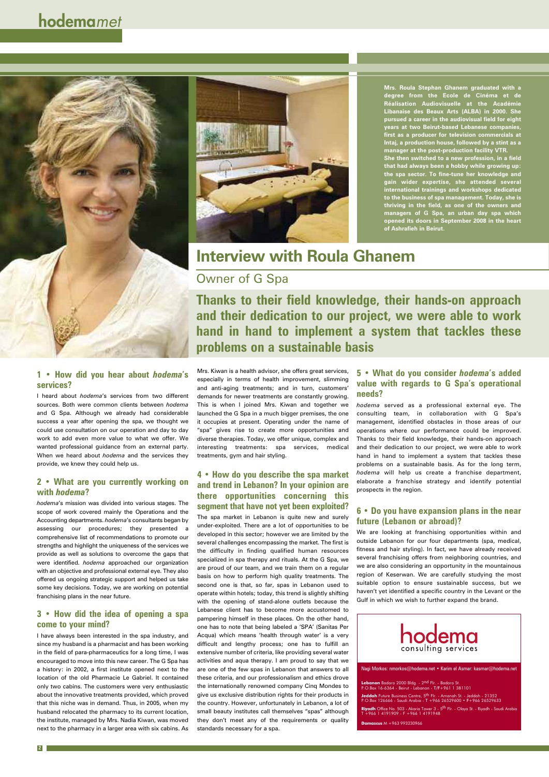## **Interview with Roula Ghanem**

### Owner of G Spa

#### **1 • How did you hear about** *hodema***'s services?**

I heard about *hodema*'s services from two different sources. Both were common clients between *hodema* and G Spa. Although we already had considerable success a year after opening the spa, we thought we could use consultation on our operation and day to day work to add even more value to what we offer. We wanted professional guidance from an external party. When we heard about *hodema* and the services they provide, we knew they could help us.

#### **2 • What are you currently working on with** *hodema***?**

*hodema*'s mission was divided into various stages. The scope of work covered mainly the Operations and the Accounting departments. *hodema*'s consultants began by assessing our procedures; they presented a comprehensive list of recommendations to promote our strengths and highlight the uniqueness of the services we provide as well as solutions to overcome the gaps that were identified. *hodema* approached our organization with an objective and professional external eye. They also offered us ongoing strategic support and helped us take some key decisions. Today, we are working on potential franchising plans in the near future.

#### **3 • How did the idea of opening a spa come to your mind?**

I have always been interested in the spa industry, and since my husband is a pharmacist and has been working in the field of para-pharmaceutics for a long time, I was encouraged to move into this new career. The G Spa has a history: in 2002, a first institute opened next to the location of the old Pharmacie Le Gabriel. It contained only two cabins. The customers were very enthusiastic about the innovative treatments provided, which proved that this niche was in demand. Thus, in 2005, when my husband relocated the pharmacy to its current location, the institute, managed by Mrs. Nadia Kiwan, was moved next to the pharmacy in a larger area with six cabins. As

## **hodema***met*





**Thanks to their field knowledge, their hands-on approach and their dedication to our project, we were able to work hand in hand to implement a system that tackles these problems on a sustainable basis**

The spa market in Lebanon is quite new and surely under-exploited. There are a lot of opportunities to be developed in this sector; however we are limited by the several challenges encompassing the market. The first is the difficulty in finding qualified human resources specialized in spa therapy and rituals. At the G Spa, we are proud of our team, and we train them on a regular basis on how to perform high quality treatments. The second one is that, so far, spas in Lebanon used to operate within hotels; today, this trend is slightly shifting with the opening of stand-alone outlets because the Lebanese client has to become more accustomed to pampering himself in these places. On the other hand, one has to note that being labeled a 'SPA' (Sanitas Per Acqua) which means 'health through water' is a very difficult and lengthy process; one has to fulfill an extensive number of criteria, like providing several water activities and aqua therapy. I am proud to say that we are one of the few spas in Lebanon that answers to all these criteria, and our professionalism and ethics drove the internationally renowned company Cinq Mondes to give us exclusive distribution rights for their products in the country. However, unfortunately in Lebanon, a lot of small beauty institutes call themselves "spas" although they don't meet any of the requirements or quality standards necessary for a spa.

**2**

Mrs. Kiwan is a health advisor, she offers great services, especially in terms of health improvement, slimming and anti-aging treatments; and in turn, customers' demands for newer treatments are constantly growing. This is when I joined Mrs. Kiwan and together we launched the G Spa in a much bigger premises, the one it occupies at present. Operating under the name of "spa" gives rise to create more opportunities and diverse therapies. Today, we offer unique, complex and interesting treatments: spa services, medical treatments, gym and hair styling.

#### **4 • How do you describe the spa market and trend in Lebanon? In your opinion are there opportunities concerning this segment that have not yet been exploited?**

**Mrs. Roula Stephan Ghanem graduated with a degree from the Ecole de Cinéma et de Réalisation Audiovisuelle at the Académie Libanaise des Beaux Arts (ALBA) in 2000. She pursued a career in the audiovisual field for eight years at two Beirut-based Lebanese companies, first as a producer for television commercials at Intaj, a production house, followed by a stint as a manager at the post-production facility VTR. She then switched to a new profession, in a field that had always been a hobby while growing up: the spa sector. To fine-tune her knowledge and gain wider expertise, she attended several international trainings and workshops dedicated to the business of spa management. Today, she is thriving in the field, as one of the owners and managers of G Spa, an urban day spa which opened its doors in September 2008 in the heart of Ashrafieh in Beirut.**

Nagi Morkos: nmorkos@hodema.net • Karim el Asmar: kasmar@hodema.net

**Lebanon** Badaro 2000 Bldg. - 2<sup>nd</sup> Flr. - Badaro St.<br>P.O.Box 16-6364 - Beirut - Lebanon - T/F+961 1 381101

**Jeddah** Future Business Centre, 5<sup>th</sup> Flr. - Amanah St. - Jeddah - 21352<br>P.O.Box 126666 - Saudi Arabia - T +966 26529600 • F+966 26529633

**Riyadh** Office No. 503 - Akaria Tower 3 - 5th Flr. - Olaya St. - Riyadh - Saudi Arabia T +966 1 4191909 - F +966 1 4191948

**Damascus** M +963 993230966

#### **5 • What do you consider** *hodema***'s added value with regards to G Spa's operational needs?**

*hodema* served as a professional external eye. The consulting team, in collaboration with G Spa's management, identified obstacles in those areas of our operations where our performance could be improved. Thanks to their field knowledge, their hands-on approach and their dedication to our project, we were able to work hand in hand to implement a system that tackles these problems on a sustainable basis. As for the long term, *hodema* will help us create a franchise department, elaborate a franchise strategy and identify potential prospects in the region.

#### **6 • Do you have expansion plans in the near future (Lebanon or abroad)?**

We are looking at franchising opportunities within and outside Lebanon for our four departments (spa, medical, fitness and hair styling). In fact, we have already received several franchising offers from neighboring countries, and we are also considering an opportunity in the mountainous region of Keserwan. We are carefully studying the most suitable option to ensure sustainable success, but we

haven't yet identified a specific country in the Levant or the Gulf in which we wish to further expand the brand.

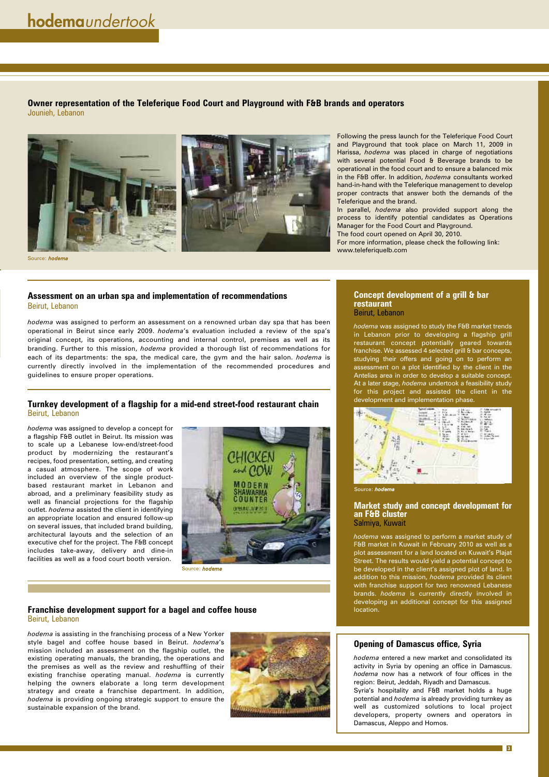#### **Turnkey development of a flagship for a mid-end street-food restaurant chain** Beirut, Lebanon

*hodema* was assigned to develop a concept for a flagship F&B outlet in Beirut. Its mission was to scale up a Lebanese low-end/street-food product by modernizing the restaurant's recipes, food presentation, setting, and creating a casual atmosphere. The scope of work included an overview of the single productbased restaurant market in Lebanon and abroad, and a preliminary feasibility study as well as financial projections for the flagship outlet. *hodema* assisted the client in identifying an appropriate location and ensured follow-up on several issues, that included brand building, architectural layouts and the selection of an executive chef for the project. The F&B concept includes take-away, delivery and dine-in facilities as well as a food court booth version.

#### **Franchise development support for a bagel and coffee house** Beirut, Lebanon

*hodema* is assisting in the franchising process of a New Yorker style bagel and coffee house based in Beirut. *hodema*'s mission included an assessment on the flagship outlet, the existing operating manuals, the branding, the operations and the premises as well as the review and reshuffling of their existing franchise operating manual. *hodema* is currently helping the owners elaborate a long term development strategy and create a franchise department. In addition, *hodema* is providing ongoing strategic support to ensure the sustainable expansion of the brand.



Following the press launch for the Teleferique Food Court and Playground that took place on March 11, 2009 in Harissa, *hodema* was placed in charge of negotiations with several potential Food & Beverage brands to be operational in the food court and to ensure a balanced mix in the F&B offer. In addition, *hodema* consultants worked hand-in-hand with the Teleferique management to develop proper contracts that answer both the demands of the Teleferique and the brand.

In parallel, *hodema* also provided support along the process to identify potential candidates as Operations Manager for the Food Court and Playground.

The food court opened on April 30, 2010.

For more information, please check the following link: www.teleferiquelb.com

#### **Concept development of a grill & bar restaurant** Beirut, Lebanon

*hodema* was assigned to study the F&B market trends in Lebanon prior to developing a flagship grill restaurant concept potentially geared towards franchise. We assessed 4 selected grill & bar concepts, studying their offers and going on to perform an assessment on a plot identified by the client in the Antelias area in order to develop a suitable concept. At a later stage, *hodema* undertook a feasibility study for this project and assisted the client in the development and implementation phase.



#### **Market study and concept development for an F&B cluster** Salmiya, Kuwait

*hodema* was assigned to perform a market study of F&B market in Kuwait in February 2010 as well as a plot assessment for a land located on Kuwait's Plajat Street. The results would yield a potential concept to be developed in the client's assigned plot of land. In addition to this mission, *hodema* provided its client with franchise support for two renowned Lebanes brands. *hodema* is currently directly involved in developing an additional concept for this assigned location.

**3**

#### **Opening of Damascus office, Syria**

*hodema* entered a new market and consolidated its activity in Syria by opening an office in Damascus. *hodema* now has a network of four offices in the region: Beirut, Jeddah, Riyadh and Damascus. Syria's hospitality and F&B market holds a huge

potential and *hodema* is already providing turnkey as well as customized solutions to local project developers, property owners and operators in Damascus, Aleppo and Homos.

#### **Assessment on an urban spa and implementation of recommendations** Beirut, Lebanon

*hodema* was assigned to perform an assessment on a renowned urban day spa that has been operational in Beirut since early 2009. *hodema*'s evaluation included a review of the spa's original concept, its operations, accounting and internal control, premises as well as its branding. Further to this mission, *hodema* provided a thorough list of recommendations for each of its departments: the spa, the medical care, the gym and the hair salon. *hodema* is currently directly involved in the implementation of the recommended procedures and guidelines to ensure proper operations.

**Owner representation of the Teleferique Food Court and Playground with F&B brands and operators** Jounieh, Lebanon



Source: *hodema*



Source: *hodema*

Source: *hodema*